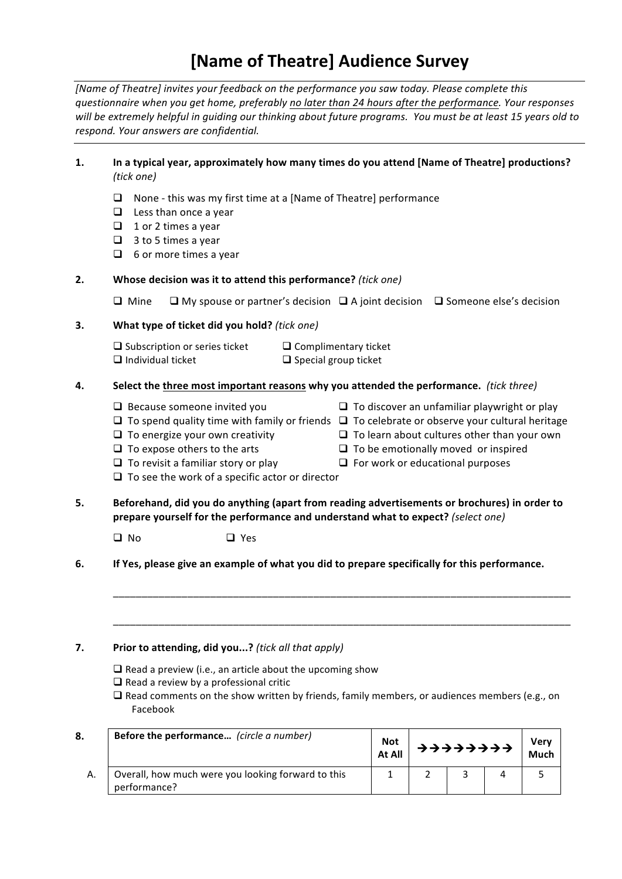## **[Name of Theatre] Audience Survey**

*[Name of Theatre] invites your feedback on the performance you saw today. Please complete this questionnaire&when&you&get&home,&preferably&no&later&than&24&hours&after&the&performance.&Your&responses&* will be extremely helpful in guiding our thinking about future programs. You must be at least 15 years old to *respond.&Your&answers&are&confidential.*

## 1. **In a typical year, approximately how many times do you attend [Name of Theatre] productions?** *(tick one)*

- $\Box$  None this was my first time at a [Name of Theatre] performance
- $\Box$  Less than once a year
- $\Box$  1 or 2 times a year
- $\Box$  3 to 5 times a year
- $\Box$  6 or more times a year

### **2. Whose decision was it to attend this performance?** (tick one)

 $□$  Mine  $□$  My spouse or partner's decision  $□$  A joint decision  $□$  Someone else's decision

### **3. What type of ticket did you hold?** (tick one)

 $\Box$  Subscription or series ticket  $\Box$  Complimentary ticket  $\Box$  Individual ticket  $\Box$  Special group ticket

### **4.** Select the three most important reasons why you attended the performance. (tick three)

- 
- $\Box$  To spend quality time with family or friends  $\Box$  To celebrate or observe your cultural heritage
- $\Box$  To energize your own creativity  $\Box$  To learn about cultures other than your own
- $\Box$  To expose others to the arts  $\Box$  To be emotionally moved or inspired
- $\Box$  To revisit a familiar story or play  $\Box$  For work or educational purposes
- $\Box$  To see the work of a specific actor or director
- 5. **Beforehand, did you do anything (apart from reading advertisements or brochures) in order to prepare yourself for the performance and understand what to expect?** (select one)
	- $\Box$  No  $\Box$  Yes
- **6. If Yes, please give an example of what you did to prepare specifically for this performance.**

### **7. Prior to attending, did you...?** (tick all that apply)

- $\Box$  Read a preview (i.e., an article about the upcoming show
- $\Box$  Read a review by a professional critic
- $\Box$  Read comments on the show written by friends, family members, or audiences members (e.g., on Facebook

\_\_\_\_\_\_\_\_\_\_\_\_\_\_\_\_\_\_\_\_\_\_\_\_\_\_\_\_\_\_\_\_\_\_\_\_\_\_\_\_\_\_\_\_\_\_\_\_\_\_\_\_\_\_\_\_\_\_\_\_\_\_\_\_\_\_\_\_\_\_\_\_\_\_\_\_\_\_\_\_

\_\_\_\_\_\_\_\_\_\_\_\_\_\_\_\_\_\_\_\_\_\_\_\_\_\_\_\_\_\_\_\_\_\_\_\_\_\_\_\_\_\_\_\_\_\_\_\_\_\_\_\_\_\_\_\_\_\_\_\_\_\_\_\_\_\_\_\_\_\_\_\_\_\_\_\_\_\_\_\_

| 8. | Before the performance (circle a number)                           |  | → → → → → → → → → |  | Verv<br>Much |
|----|--------------------------------------------------------------------|--|-------------------|--|--------------|
| А. | Overall, how much were you looking forward to this<br>performance? |  |                   |  |              |

- $\Box$  Because someone invited you  $\Box$  To discover an unfamiliar playwright or play
	-

٦

- 
- 
-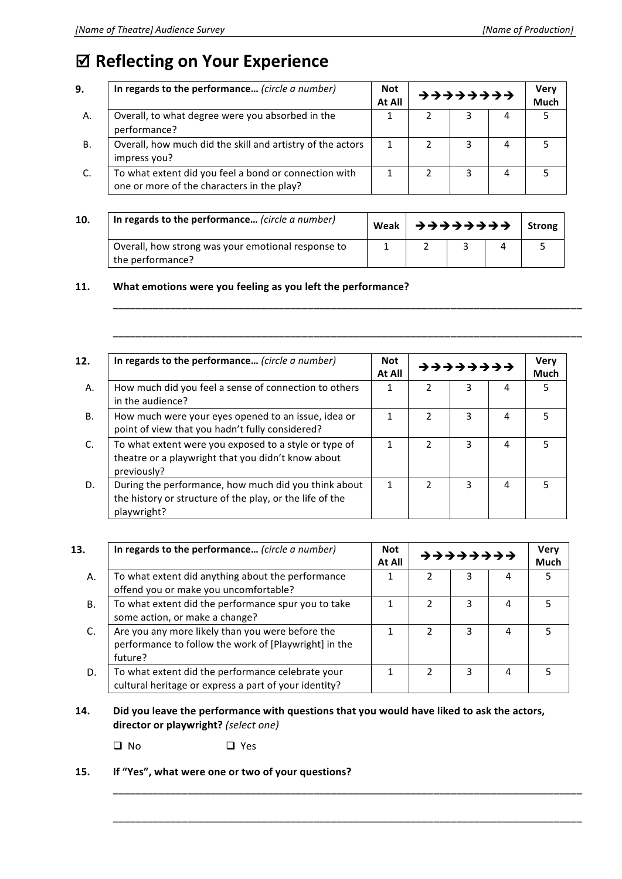# $\boxtimes$  **Reflecting on Your Experience**

| 9.        | In regards to the performance (circle a number)                                                     | <b>Not</b><br>At All | <b>ナナナナナナナナナ</b> |  | <b>Very</b><br>Much |  |
|-----------|-----------------------------------------------------------------------------------------------------|----------------------|------------------|--|---------------------|--|
| А.        | Overall, to what degree were you absorbed in the<br>performance?                                    |                      |                  |  | 4                   |  |
| <b>B.</b> | Overall, how much did the skill and artistry of the actors<br>impress you?                          |                      |                  |  | 4                   |  |
|           | To what extent did you feel a bond or connection with<br>one or more of the characters in the play? |                      |                  |  | 4                   |  |

| 10. | In regards to the performance (circle a number)    |  |  | Strong |
|-----|----------------------------------------------------|--|--|--------|
|     | Overall, how strong was your emotional response to |  |  |        |
|     | the performance?                                   |  |  |        |

\_\_\_\_\_\_\_\_\_\_\_\_\_\_\_\_\_\_\_\_\_\_\_\_\_\_\_\_\_\_\_\_\_\_\_\_\_\_\_\_\_\_\_\_\_\_\_\_\_\_\_\_\_\_\_\_\_\_\_\_\_\_\_\_\_\_\_\_\_\_\_\_\_\_\_\_\_\_\_\_\_\_

\_\_\_\_\_\_\_\_\_\_\_\_\_\_\_\_\_\_\_\_\_\_\_\_\_\_\_\_\_\_\_\_\_\_\_\_\_\_\_\_\_\_\_\_\_\_\_\_\_\_\_\_\_\_\_\_\_\_\_\_\_\_\_\_\_\_\_\_\_\_\_\_\_\_\_\_\_\_\_\_\_\_

## 11. What emotions were you feeling as you left the performance?

| In regards to the performance (circle a number)<br>At All                                                                       |   | <b>ナナナナナナナナ</b> |   |   | <b>Very</b><br>Much |
|---------------------------------------------------------------------------------------------------------------------------------|---|-----------------|---|---|---------------------|
| How much did you feel a sense of connection to others<br>in the audience?                                                       |   | 2               | 3 | 4 | 5                   |
| How much were your eyes opened to an issue, idea or<br>point of view that you hadn't fully considered?                          |   | $\mathcal{P}$   | ς | 4 | 5                   |
| To what extent were you exposed to a style or type of<br>theatre or a playwright that you didn't know about<br>previously?      |   |                 | ς | 4 | 5                   |
| During the performance, how much did you think about<br>the history or structure of the play, or the life of the<br>playwright? | 1 | $\mathcal{P}$   | 3 | 4 | 5                   |

| 13. | In regards to the performance (circle a number)                                                                      | Not<br>At All | ナナナナナナナナ |   |   | <b>Very</b><br><b>Much</b> |
|-----|----------------------------------------------------------------------------------------------------------------------|---------------|----------|---|---|----------------------------|
| А.  | To what extent did anything about the performance<br>offend you or make you uncomfortable?                           |               |          | 3 | 4 | 5                          |
| В.  | To what extent did the performance spur you to take<br>some action, or make a change?                                |               |          |   | 4 |                            |
| C.  | Are you any more likely than you were before the<br>performance to follow the work of [Playwright] in the<br>future? |               |          |   | 4 |                            |
| D.  | To what extent did the performance celebrate your<br>cultural heritage or express a part of your identity?           |               |          |   | 4 |                            |

## 14. **Did you leave the performance with questions that you would have liked to ask the actors,**  $divector$  or playwright? *(select one)*

\_\_\_\_\_\_\_\_\_\_\_\_\_\_\_\_\_\_\_\_\_\_\_\_\_\_\_\_\_\_\_\_\_\_\_\_\_\_\_\_\_\_\_\_\_\_\_\_\_\_\_\_\_\_\_\_\_\_\_\_\_\_\_\_\_\_\_\_\_\_\_\_\_\_\_\_\_\_\_\_\_\_

\_\_\_\_\_\_\_\_\_\_\_\_\_\_\_\_\_\_\_\_\_\_\_\_\_\_\_\_\_\_\_\_\_\_\_\_\_\_\_\_\_\_\_\_\_\_\_\_\_\_\_\_\_\_\_\_\_\_\_\_\_\_\_\_\_\_\_\_\_\_\_\_\_\_\_\_\_\_\_\_\_\_

 $\Box$  No  $\Box$  Yes

15. **If "Yes", what were one or two of your questions?**